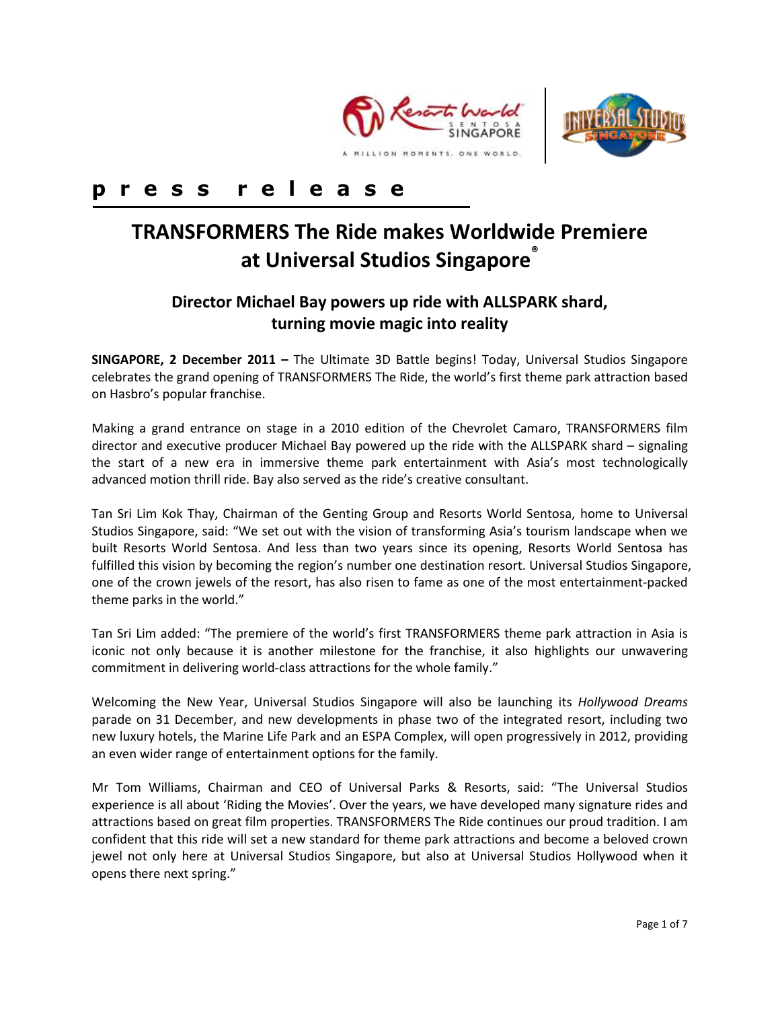



# **p r e s s r e l e a s e**

# **TRANSFORMERS The Ride makes Worldwide Premiere at Universal Studios Singapore®**

# **Director Michael Bay powers up ride with ALLSPARK shard, turning movie magic into reality**

**SINGAPORE, 2 December 2011 –** The Ultimate 3D Battle begins! Today, Universal Studios Singapore celebrates the grand opening of TRANSFORMERS The Ride, the world's first theme park attraction based on Hasbro's popular franchise.

Making a grand entrance on stage in a 2010 edition of the Chevrolet Camaro, TRANSFORMERS film director and executive producer Michael Bay powered up the ride with the ALLSPARK shard – signaling the start of a new era in immersive theme park entertainment with Asia's most technologically advanced motion thrill ride. Bay also served as the ride's creative consultant.

Tan Sri Lim Kok Thay, Chairman of the Genting Group and Resorts World Sentosa, home to Universal Studios Singapore, said: "We set out with the vision of transforming Asia's tourism landscape when we built Resorts World Sentosa. And less than two years since its opening, Resorts World Sentosa has fulfilled this vision by becoming the region's number one destination resort. Universal Studios Singapore, one of the crown jewels of the resort, has also risen to fame as one of the most entertainment-packed theme parks in the world."

Tan Sri Lim added: "The premiere of the world's first TRANSFORMERS theme park attraction in Asia is iconic not only because it is another milestone for the franchise, it also highlights our unwavering commitment in delivering world-class attractions for the whole family."

Welcoming the New Year, Universal Studios Singapore will also be launching its *Hollywood Dreams* parade on 31 December, and new developments in phase two of the integrated resort, including two new luxury hotels, the Marine Life Park and an ESPA Complex, will open progressively in 2012, providing an even wider range of entertainment options for the family.

Mr Tom Williams, Chairman and CEO of Universal Parks & Resorts, said: "The Universal Studios experience is all about 'Riding the Movies'. Over the years, we have developed many signature rides and attractions based on great film properties. TRANSFORMERS The Ride continues our proud tradition. I am confident that this ride will set a new standard for theme park attractions and become a beloved crown jewel not only here at Universal Studios Singapore, but also at Universal Studios Hollywood when it opens there next spring."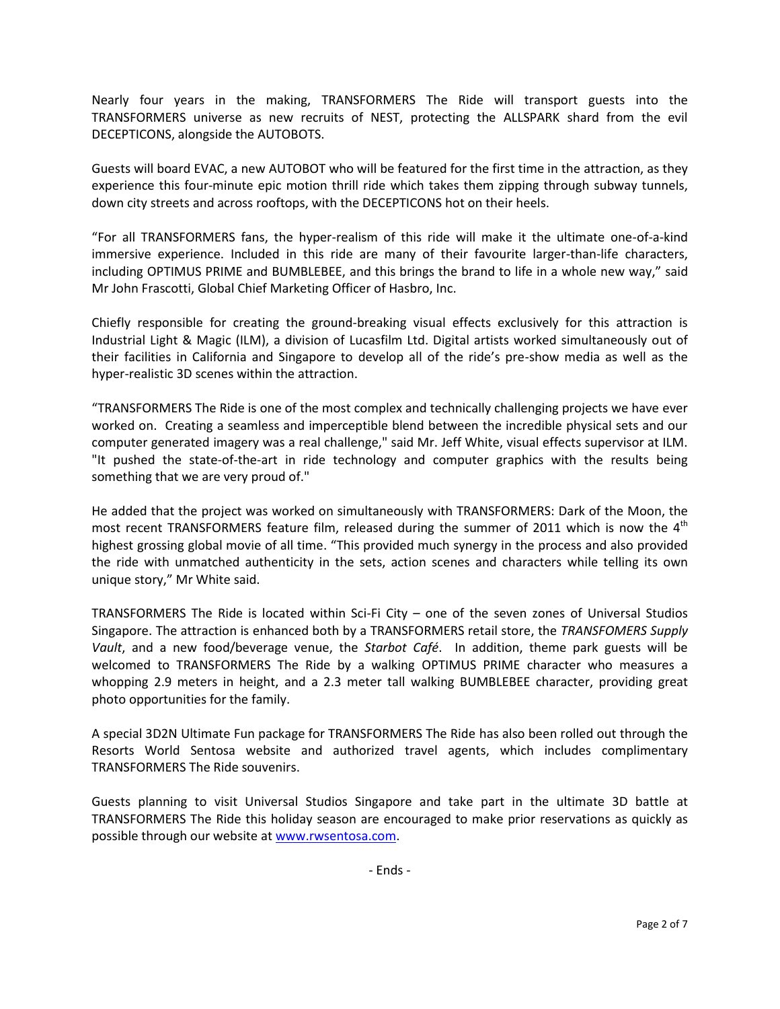Nearly four years in the making, TRANSFORMERS The Ride will transport guests into the TRANSFORMERS universe as new recruits of NEST, protecting the ALLSPARK shard from the evil DECEPTICONS, alongside the AUTOBOTS.

Guests will board EVAC, a new AUTOBOT who will be featured for the first time in the attraction, as they experience this four-minute epic motion thrill ride which takes them zipping through subway tunnels, down city streets and across rooftops, with the DECEPTICONS hot on their heels.

"For all TRANSFORMERS fans, the hyper-realism of this ride will make it the ultimate one-of-a-kind immersive experience. Included in this ride are many of their favourite larger-than-life characters, including OPTIMUS PRIME and BUMBLEBEE, and this brings the brand to life in a whole new way," said Mr John Frascotti, Global Chief Marketing Officer of Hasbro, Inc.

Chiefly responsible for creating the ground-breaking visual effects exclusively for this attraction is Industrial Light & Magic (ILM), a division of Lucasfilm Ltd. Digital artists worked simultaneously out of their facilities in California and Singapore to develop all of the ride's pre-show media as well as the hyper-realistic 3D scenes within the attraction.

"TRANSFORMERS The Ride is one of the most complex and technically challenging projects we have ever worked on. Creating a seamless and imperceptible blend between the incredible physical sets and our computer generated imagery was a real challenge," said Mr. Jeff White, visual effects supervisor at ILM. "It pushed the state-of-the-art in ride technology and computer graphics with the results being something that we are very proud of."

He added that the project was worked on simultaneously with TRANSFORMERS: Dark of the Moon, the most recent TRANSFORMERS feature film, released during the summer of 2011 which is now the  $4<sup>th</sup>$ highest grossing global movie of all time. "This provided much synergy in the process and also provided the ride with unmatched authenticity in the sets, action scenes and characters while telling its own unique story," Mr White said.

TRANSFORMERS The Ride is located within Sci-Fi City – one of the seven zones of Universal Studios Singapore. The attraction is enhanced both by a TRANSFORMERS retail store, the *TRANSFOMERS Supply Vault*, and a new food/beverage venue, the *Starbot Café*. In addition, theme park guests will be welcomed to TRANSFORMERS The Ride by a walking OPTIMUS PRIME character who measures a whopping 2.9 meters in height, and a 2.3 meter tall walking BUMBLEBEE character, providing great photo opportunities for the family.

A special 3D2N Ultimate Fun package for TRANSFORMERS The Ride has also been rolled out through the Resorts World Sentosa website and authorized travel agents, which includes complimentary TRANSFORMERS The Ride souvenirs.

Guests planning to visit Universal Studios Singapore and take part in the ultimate 3D battle at TRANSFORMERS The Ride this holiday season are encouraged to make prior reservations as quickly as possible through our website at [www.rwsentosa.com.](http://www.rwsentosa.com/)

- Ends -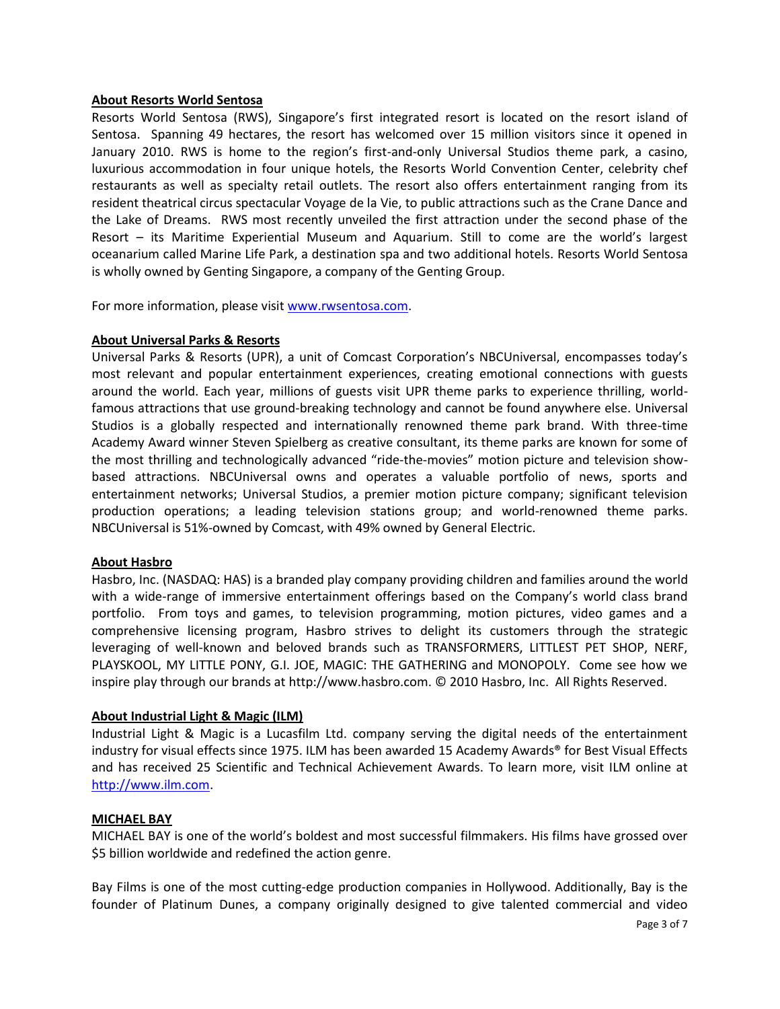## **About Resorts World Sentosa**

Resorts World Sentosa (RWS), Singapore's first integrated resort is located on the resort island of Sentosa. Spanning 49 hectares, the resort has welcomed over 15 million visitors since it opened in January 2010. RWS is home to the region's first-and-only Universal Studios theme park, a casino, luxurious accommodation in four unique hotels, the Resorts World Convention Center, celebrity chef restaurants as well as specialty retail outlets. The resort also offers entertainment ranging from its resident theatrical circus spectacular Voyage de la Vie, to public attractions such as the Crane Dance and the Lake of Dreams. RWS most recently unveiled the first attraction under the second phase of the Resort – its Maritime Experiential Museum and Aquarium. Still to come are the world's largest oceanarium called Marine Life Park, a destination spa and two additional hotels. Resorts World Sentosa is wholly owned by Genting Singapore, a company of the Genting Group.

For more information, please visi[t www.rwsentosa.com.](http://www.rwsentosa.com/)

## **About Universal Parks & Resorts**

Universal Parks & Resorts (UPR), a unit of Comcast Corporation's NBCUniversal, encompasses today's most relevant and popular entertainment experiences, creating emotional connections with guests around the world. Each year, millions of guests visit UPR theme parks to experience thrilling, worldfamous attractions that use ground-breaking technology and cannot be found anywhere else. Universal Studios is a globally respected and internationally renowned theme park brand. With three-time Academy Award winner Steven Spielberg as creative consultant, its theme parks are known for some of the most thrilling and technologically advanced "ride-the-movies" motion picture and television showbased attractions. NBCUniversal owns and operates a valuable portfolio of news, sports and entertainment networks; Universal Studios, a premier motion picture company; significant television production operations; a leading television stations group; and world-renowned theme parks. NBCUniversal is 51%-owned by Comcast, with 49% owned by General Electric.

#### **About Hasbro**

Hasbro, Inc. (NASDAQ: HAS) is a branded play company providing children and families around the world with a wide-range of immersive entertainment offerings based on the Company's world class brand portfolio. From toys and games, to television programming, motion pictures, video games and a comprehensive licensing program, Hasbro strives to delight its customers through the strategic leveraging of well-known and beloved brands such as TRANSFORMERS, LITTLEST PET SHOP, NERF, PLAYSKOOL, MY LITTLE PONY, G.I. JOE, MAGIC: THE GATHERING and MONOPOLY. Come see how we inspire play through our brands at http://www.hasbro.com. © 2010 Hasbro, Inc. All Rights Reserved.

# **About Industrial Light & Magic (ILM)**

Industrial Light & Magic is a Lucasfilm Ltd. company serving the digital needs of the entertainment industry for visual effects since 1975. ILM has been awarded 15 Academy Awards® for Best Visual Effects and has received 25 Scientific and Technical Achievement Awards. To learn more, visit ILM online at [http://www.ilm.com.](http://www.ilm.com/)

# **MICHAEL BAY**

MICHAEL BAY is one of the world's boldest and most successful filmmakers. His films have grossed over \$5 billion worldwide and redefined the action genre.

Bay Films is one of the most cutting-edge production companies in Hollywood. Additionally, Bay is the founder of Platinum Dunes, a company originally designed to give talented commercial and video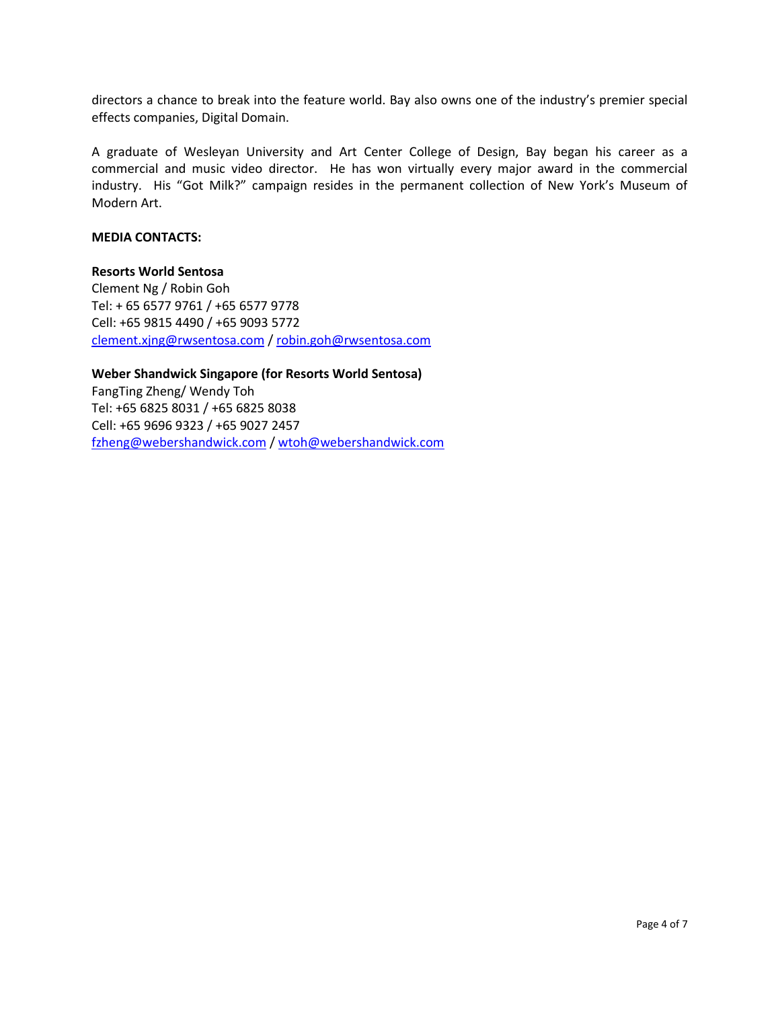directors a chance to break into the feature world. Bay also owns one of the industry's premier special effects companies, Digital Domain.

A graduate of Wesleyan University and Art Center College of Design, Bay began his career as a commercial and music video director. He has won virtually every major award in the commercial industry. His "Got Milk?" campaign resides in the permanent collection of New York's Museum of Modern Art.

## **MEDIA CONTACTS:**

#### **Resorts World Sentosa**

Clement Ng / Robin Goh Tel: + 65 6577 9761 / +65 6577 9778 Cell: +65 9815 4490 / +65 9093 5772 [clement.xjng@rwsentosa.com](mailto:clement.xjng@rwsentosa.com) / [robin.goh@rwsentosa.com](mailto:robin.goh@rwsentosa.com)

**Weber Shandwick Singapore (for Resorts World Sentosa)**  FangTing Zheng/ Wendy Toh Tel: +65 6825 8031 / +65 6825 8038 Cell: +65 9696 9323 / +65 9027 2457 [fzheng@webershandwick.com](mailto:fzheng@webershandwick.com) / [wtoh@webershandwick.com](mailto:wtoh@webershandwick.com)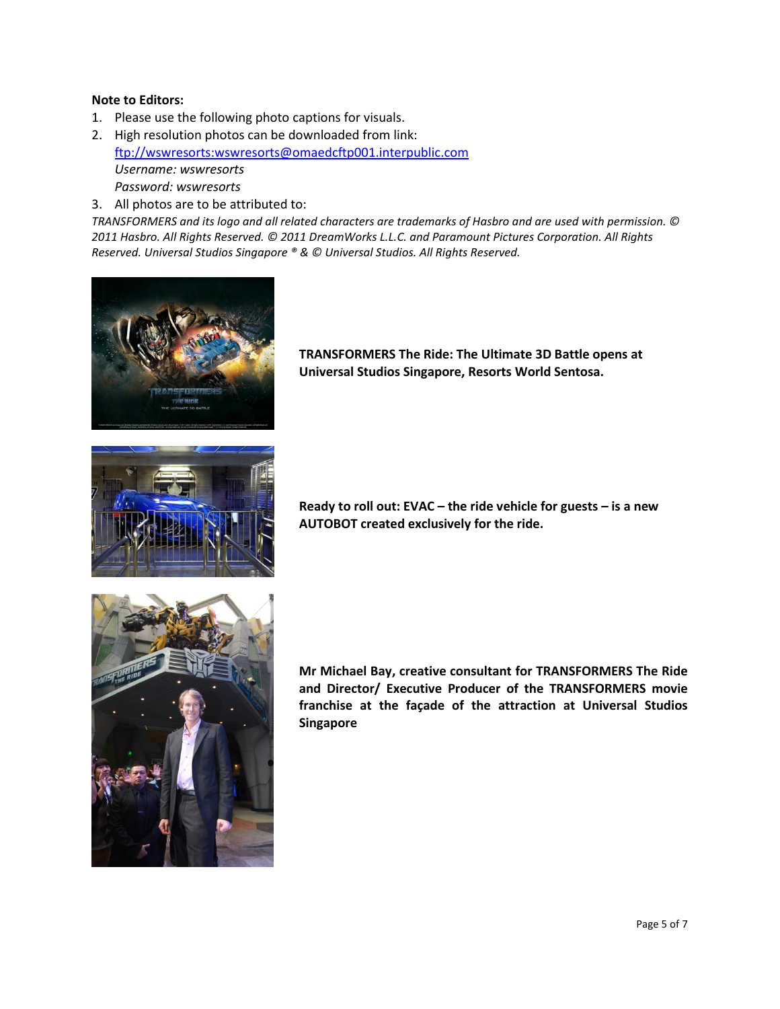## **Note to Editors:**

- 1. Please use the following photo captions for visuals.
- 2. High resolution photos can be downloaded from link: [ftp://wswresorts:wswresorts@omaedcftp001.interpublic.com](ftp://wswresorts:wswresorts@omaedcftp001.interpublic.com/)  *Username: wswresorts Password: wswresorts*
- 3. All photos are to be attributed to:

*TRANSFORMERS and its logo and all related characters are trademarks of Hasbro and are used with permission. © 2011 Hasbro. All Rights Reserved. © 2011 DreamWorks L.L.C. and Paramount Pictures Corporation. All Rights Reserved. Universal Studios Singapore ® & © Universal Studios. All Rights Reserved.* 



**TRANSFORMERS The Ride: The Ultimate 3D Battle opens at Universal Studios Singapore, Resorts World Sentosa.**



**Ready to roll out: EVAC – the ride vehicle for guests – is a new AUTOBOT created exclusively for the ride.**



**Mr Michael Bay, creative consultant for TRANSFORMERS The Ride and Director/ Executive Producer of the TRANSFORMERS movie franchise at the façade of the attraction at Universal Studios Singapore**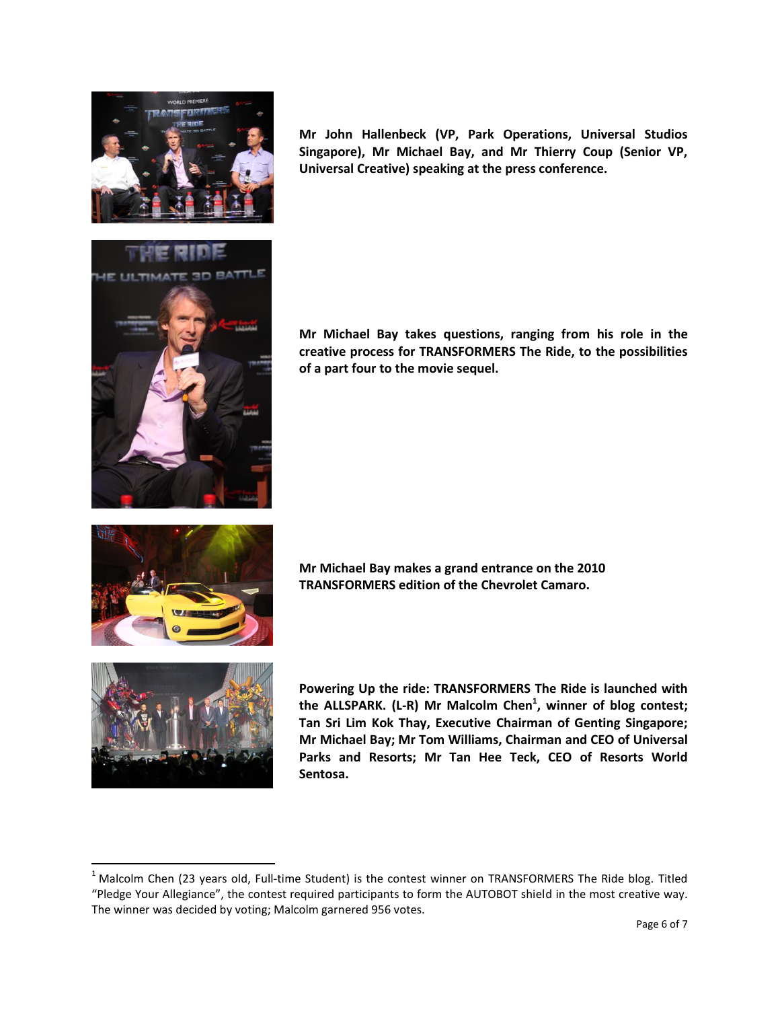

**Mr John Hallenbeck (VP, Park Operations, Universal Studios Singapore), Mr Michael Bay, and Mr Thierry Coup (Senior VP, Universal Creative) speaking at the press conference.**

**Mr Michael Bay takes questions, ranging from his role in the creative process for TRANSFORMERS The Ride, to the possibilities of a part four to the movie sequel.**



**Mr Michael Bay makes a grand entrance on the 2010 TRANSFORMERS edition of the Chevrolet Camaro.**



 $\overline{\phantom{a}}$ 

**Powering Up the ride: TRANSFORMERS The Ride is launched with the ALLSPARK. (L-R) Mr Malcolm Chen<sup>1</sup> , winner of blog contest; Tan Sri Lim Kok Thay, Executive Chairman of Genting Singapore; Mr Michael Bay; Mr Tom Williams, Chairman and CEO of Universal Parks and Resorts; Mr Tan Hee Teck, CEO of Resorts World Sentosa.**

 $1$  Malcolm Chen (23 years old, Full-time Student) is the contest winner on TRANSFORMERS The Ride blog. Titled "Pledge Your Allegiance", the contest required participants to form the AUTOBOT shield in the most creative way. The winner was decided by voting; Malcolm garnered 956 votes.